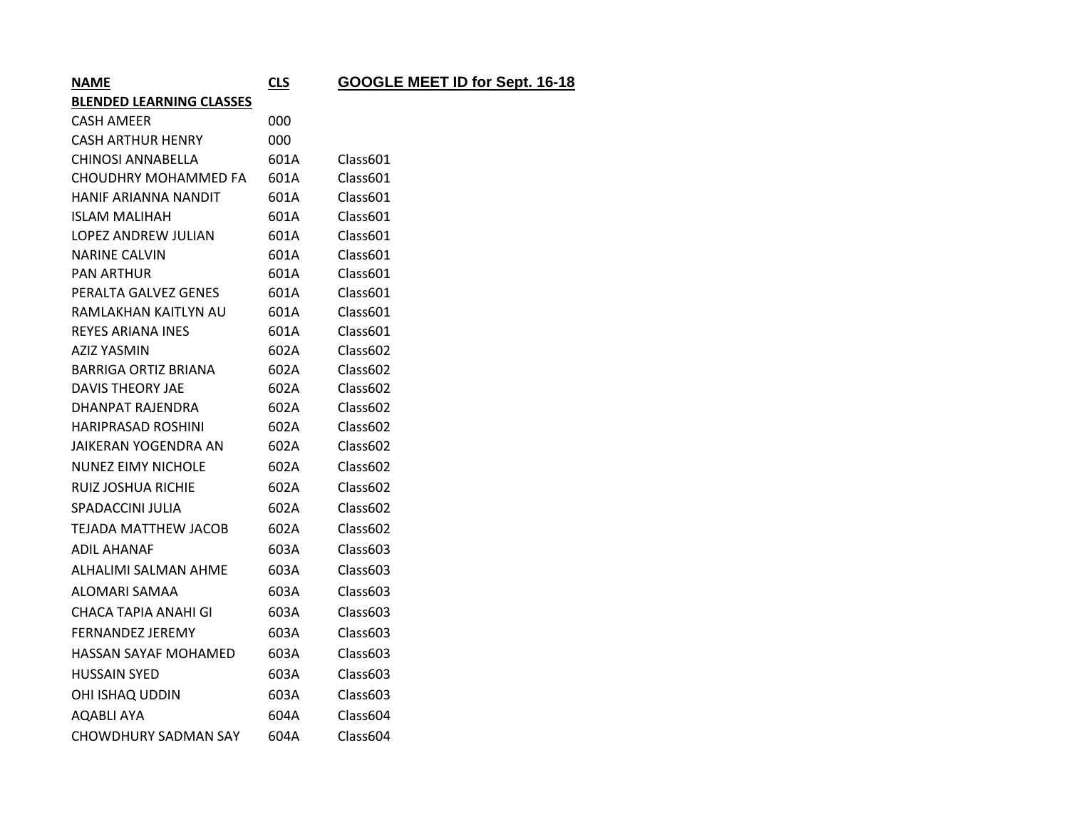| <b>NAME</b>                     | <b>CLS</b>           | GOOGLE MEET ID for Sept. 16-18 |
|---------------------------------|----------------------|--------------------------------|
| <b>BLENDED LEARNING CLASSES</b> |                      |                                |
| CASH AMEER                      | 000                  |                                |
| CASH ARTHUR HENRY               | 000                  |                                |
| CHINOSI ANNABELLA               | 601A                 | Class601                       |
| CHOUDHRY MOHAMMED FA            | 601A                 | Class601                       |
|                                 | $\sim$ $\sim$ $\sim$ | $\sim$                         |

| CAJN AIVILLA                | υυυ  |          |
|-----------------------------|------|----------|
| <b>CASH ARTHUR HENRY</b>    | 000  |          |
| <b>CHINOSI ANNABELLA</b>    | 601A | Class601 |
| CHOUDHRY MOHAMMED FA        | 601A | Class601 |
| <b>HANIF ARIANNA NANDIT</b> | 601A | Class601 |
| <b>ISLAM MALIHAH</b>        | 601A | Class601 |
| LOPEZ ANDREW JULIAN         | 601A | Class601 |
| <b>NARINE CALVIN</b>        | 601A | Class601 |
| <b>PAN ARTHUR</b>           | 601A | Class601 |
| PERALTA GALVEZ GENES        | 601A | Class601 |
| RAMLAKHAN KAITLYN AU        | 601A | Class601 |
| <b>REYES ARIANA INES</b>    | 601A | Class601 |
| <b>AZIZ YASMIN</b>          | 602A | Class602 |
| <b>BARRIGA ORTIZ BRIANA</b> | 602A | Class602 |
| <b>DAVIS THEORY JAE</b>     | 602A | Class602 |
| DHANPAT RAJENDRA            | 602A | Class602 |
| <b>HARIPRASAD ROSHINI</b>   | 602A | Class602 |
| JAIKERAN YOGENDRA AN        | 602A | Class602 |
| <b>NUNEZ EIMY NICHOLE</b>   | 602A | Class602 |
| RUIZ JOSHUA RICHIE          | 602A | Class602 |
| SPADACCINI JULIA            | 602A | Class602 |
| <b>TEJADA MATTHEW JACOB</b> | 602A | Class602 |
| <b>ADIL AHANAF</b>          | 603A | Class603 |
| ALHALIMI SALMAN AHME        | 603A | Class603 |
| ALOMARI SAMAA               | 603A | Class603 |
| CHACA TAPIA ANAHI GI        | 603A | Class603 |
| <b>FERNANDEZ JEREMY</b>     | 603A | Class603 |
| HASSAN SAYAF MOHAMED        | 603A | Class603 |
| <b>HUSSAIN SYED</b>         | 603A | Class603 |
| OHI ISHAQ UDDIN             | 603A | Class603 |
| <b>AQABLI AYA</b>           | 604A | Class604 |
| CHOWDHURY SADMAN SAY        | 604A | Class604 |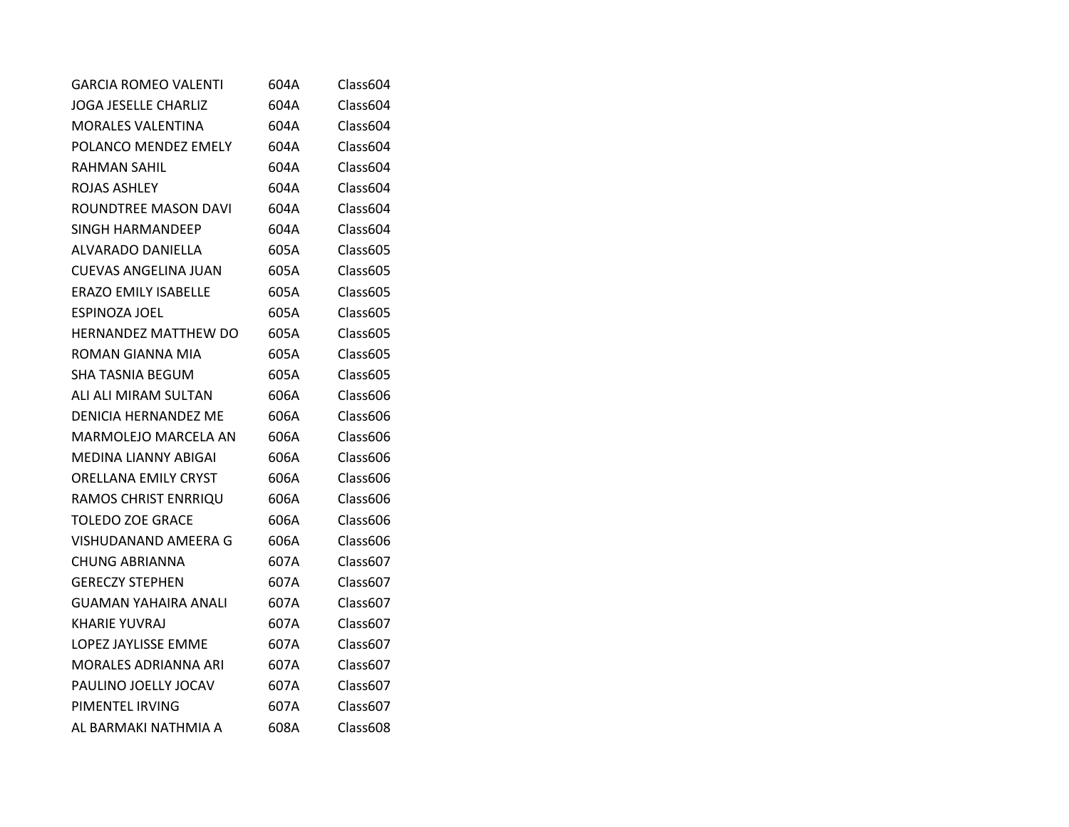| <b>GARCIA ROMEO VALENTI</b> | 604A | Class604 |
|-----------------------------|------|----------|
| JOGA JESELLE CHARLIZ        | 604A | Class604 |
| <b>MORALES VALENTINA</b>    | 604A | Class604 |
| POLANCO MENDEZ EMELY        | 604A | Class604 |
| <b>RAHMAN SAHIL</b>         | 604A | Class604 |
| ROJAS ASHLEY                | 604A | Class604 |
| ROUNDTREE MASON DAVI        | 604A | Class604 |
| SINGH HARMANDEEP            | 604A | Class604 |
| ALVARADO DANIELLA           | 605A | Class605 |
| <b>CUEVAS ANGELINA JUAN</b> | 605A | Class605 |
| <b>ERAZO EMILY ISABELLE</b> | 605A | Class605 |
| ESPINOZA JOEL               | 605A | Class605 |
| <b>HERNANDEZ MATTHEW DO</b> | 605A | Class605 |
| ROMAN GIANNA MIA            | 605A | Class605 |
| SHA TASNIA BEGUM            | 605A | Class605 |
| ALI ALI MIRAM SULTAN        | 606A | Class606 |
| DENICIA HERNANDEZ ME        | 606A | Class606 |
| MARMOLEJO MARCELA AN        | 606A | Class606 |
| MEDINA LIANNY ABIGAI        | 606A | Class606 |
| ORELLANA EMILY CRYST        | 606A | Class606 |
| RAMOS CHRIST ENRRIQU        | 606A | Class606 |
| <b>TOLEDO ZOE GRACE</b>     | 606A | Class606 |
| VISHUDANAND AMEERA G        | 606A | Class606 |
| <b>CHUNG ABRIANNA</b>       | 607A | Class607 |
| <b>GERECZY STEPHEN</b>      | 607A | Class607 |
| GUAMAN YAHAIRA ANALI        | 607A | Class607 |
| <b>KHARIE YUVRAJ</b>        | 607A | Class607 |
| LOPEZ JAYLISSE EMME         | 607A | Class607 |
| MORALES ADRIANNA ARI        | 607A | Class607 |
| PAULINO JOELLY JOCAV        | 607A | Class607 |
| PIMENTEL IRVING             | 607A | Class607 |
| AL BARMAKI NATHMIA A        | 608A | Class608 |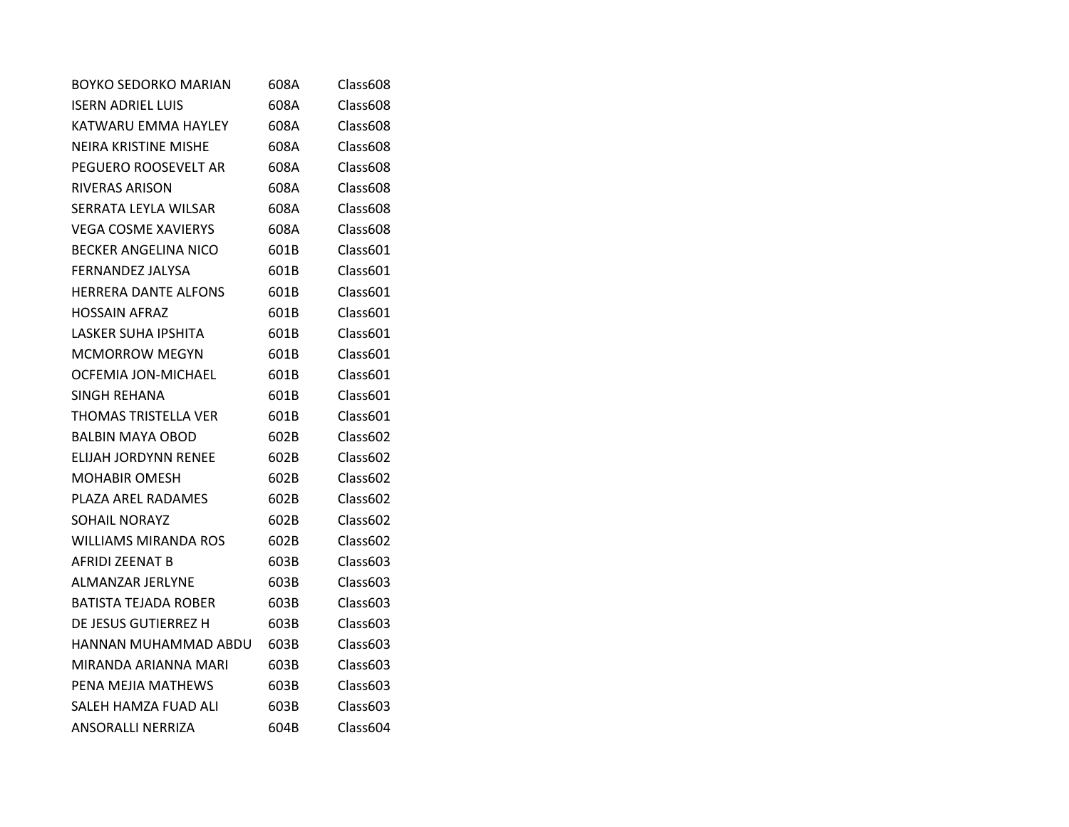| <b>BOYKO SEDORKO MARIAN</b> | 608A | Class608 |
|-----------------------------|------|----------|
| <b>ISERN ADRIEL LUIS</b>    | 608A | Class608 |
| KATWARU EMMA HAYLEY         | 608A | Class608 |
| <b>NEIRA KRISTINE MISHE</b> | 608A | Class608 |
| PEGUERO ROOSEVELT AR        | 608A | Class608 |
| RIVERAS ARISON              | 608A | Class608 |
| SERRATA LEYLA WILSAR        | 608A | Class608 |
| <b>VEGA COSME XAVIERYS</b>  | 608A | Class608 |
| <b>BECKER ANGELINA NICO</b> | 601B | Class601 |
| FERNANDEZ JALYSA            | 601B | Class601 |
| <b>HERRERA DANTE ALFONS</b> | 601B | Class601 |
| <b>HOSSAIN AFRAZ</b>        | 601B | Class601 |
| <b>LASKER SUHA IPSHITA</b>  | 601B | Class601 |
| <b>MCMORROW MEGYN</b>       | 601B | Class601 |
| OCFEMIA JON-MICHAEL         | 601B | Class601 |
| SINGH REHANA                | 601B | Class601 |
| THOMAS TRISTELLA VER        | 601B | Class601 |
| <b>BALBIN MAYA OBOD</b>     | 602B | Class602 |
| ELIJAH JORDYNN RENEE        | 602B | Class602 |
| <b>MOHABIR OMESH</b>        | 602B | Class602 |
| PLAZA AREL RADAMES          | 602B | Class602 |
| <b>SOHAIL NORAYZ</b>        | 602B | Class602 |
| <b>WILLIAMS MIRANDA ROS</b> | 602B | Class602 |
| AFRIDI ZEENAT B             | 603B | Class603 |
| ALMANZAR JERLYNE            | 603B | Class603 |
| <b>BATISTA TEJADA ROBER</b> | 603B | Class603 |
| DE JESUS GUTIERREZ H        | 603B | Class603 |
| HANNAN MUHAMMAD ABDU        | 603B | Class603 |
| MIRANDA ARIANNA MARI        | 603B | Class603 |
| PENA MEJIA MATHEWS          | 603B | Class603 |
| SALEH HAMZA FUAD ALI        | 603B | Class603 |
| <b>ANSORALLI NERRIZA</b>    | 604B | Class604 |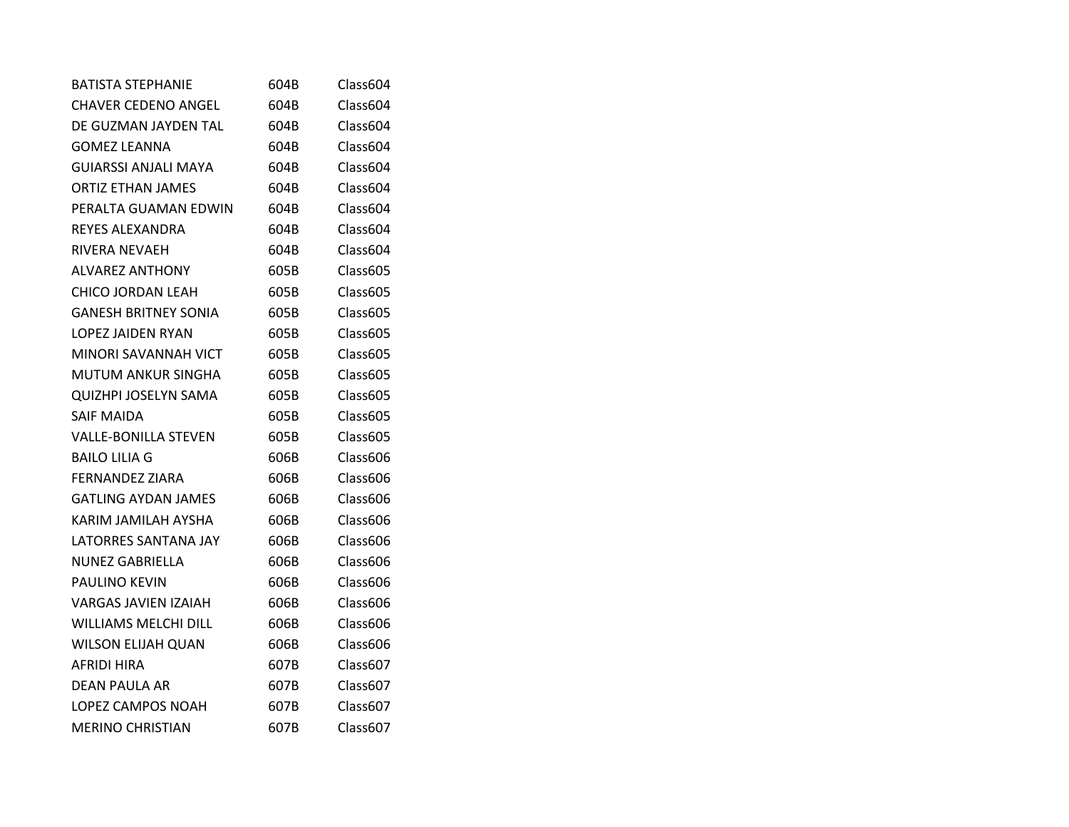| <b>BATISTA STEPHANIE</b>    | 604B | Class604 |
|-----------------------------|------|----------|
| <b>CHAVER CEDENO ANGEL</b>  | 604B | Class604 |
| DE GUZMAN JAYDEN TAL        | 604B | Class604 |
| <b>GOMEZ LEANNA</b>         | 604B | Class604 |
| GUIARSSI ANJALI MAYA        | 604B | Class604 |
| <b>ORTIZ ETHAN JAMES</b>    | 604B | Class604 |
| PERALTA GUAMAN EDWIN        | 604B | Class604 |
| REYES ALEXANDRA             | 604B | Class604 |
| RIVERA NEVAEH               | 604B | Class604 |
| <b>ALVAREZ ANTHONY</b>      | 605B | Class605 |
| <b>CHICO JORDAN LEAH</b>    | 605B | Class605 |
| <b>GANESH BRITNEY SONIA</b> | 605B | Class605 |
| LOPEZ JAIDEN RYAN           | 605B | Class605 |
| MINORI SAVANNAH VICT        | 605B | Class605 |
| MUTUM ANKUR SINGHA          | 605B | Class605 |
| <b>QUIZHPI JOSELYN SAMA</b> | 605B | Class605 |
| SAIF MAIDA                  | 605B | Class605 |
| VALLE-BONILLA STEVEN        | 605B | Class605 |
| <b>BAILO LILIA G</b>        | 606B | Class606 |
| <b>FERNANDEZ ZIARA</b>      | 606B | Class606 |
| <b>GATLING AYDAN JAMES</b>  | 606B | Class606 |
| KARIM JAMILAH AYSHA         | 606B | Class606 |
| LATORRES SANTANA JAY        | 606B | Class606 |
| NUNEZ GABRIELLA             | 606B | Class606 |
| <b>PAULINO KEVIN</b>        | 606B | Class606 |
| <b>VARGAS JAVIEN IZAIAH</b> | 606B | Class606 |
| WILLIAMS MELCHI DILL        | 606B | Class606 |
| <b>WILSON ELIJAH QUAN</b>   | 606B | Class606 |
| AFRIDI HIRA                 | 607B | Class607 |
| DEAN PAULA AR               | 607B | Class607 |
| LOPEZ CAMPOS NOAH           | 607B | Class607 |
| <b>MERINO CHRISTIAN</b>     | 607B | Class607 |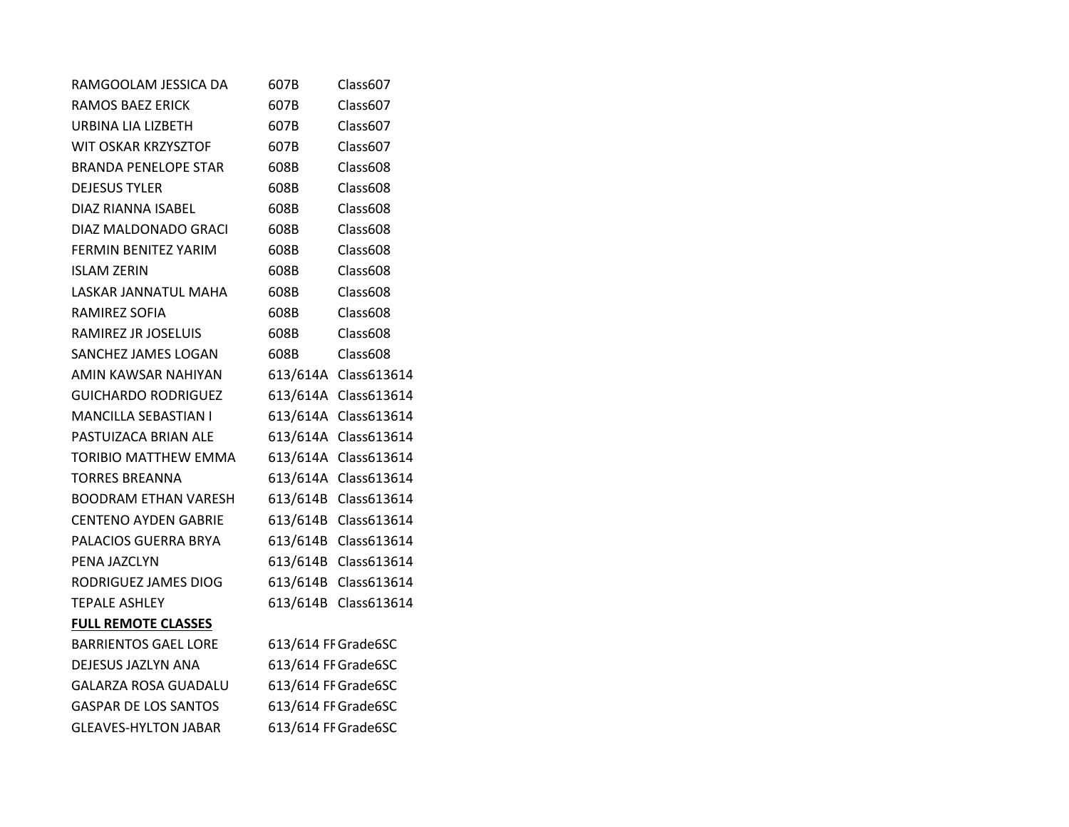| RAMGOOLAM JESSICA DA        | 607B                | Class607             |
|-----------------------------|---------------------|----------------------|
| RAMOS BAEZ ERICK            | 607B                | Class607             |
| URBINA LIA LIZBETH          | 607B                | Class607             |
| WIT OSKAR KRZYSZTOF         | 607B                | Class607             |
| <b>BRANDA PENELOPE STAR</b> | 608B                | Class608             |
| <b>DEJESUS TYLER</b>        | 608B                | Class608             |
| DIAZ RIANNA ISABEL          | 608B                | Class608             |
| DIAZ MALDONADO GRACI        | 608B                | Class608             |
| FERMIN BENITEZ YARIM        | 608B                | Class608             |
| <b>ISLAM ZERIN</b>          | 608B                | Class608             |
| LASKAR JANNATUL MAHA        | 608B                | Class608             |
| RAMIREZ SOFIA               | 608B                | Class608             |
| RAMIREZ JR JOSELUIS         | 608B                | Class608             |
| SANCHEZ JAMES LOGAN         | 608B                | Class608             |
| AMIN KAWSAR NAHIYAN         |                     | 613/614A Class613614 |
| <b>GUICHARDO RODRIGUEZ</b>  | 613/614A            | Class613614          |
| MANCILLA SEBASTIAN I        | 613/614A            | Class613614          |
| PASTUIZACA BRIAN ALE        |                     | 613/614A Class613614 |
| TORIBIO MATTHEW EMMA        | 613/614A            | Class613614          |
| <b>TORRES BREANNA</b>       |                     | 613/614A Class613614 |
| <b>BOODRAM ETHAN VARESH</b> |                     | 613/614B Class613614 |
| <b>CENTENO AYDEN GABRIE</b> | 613/614B            | Class613614          |
| PALACIOS GUERRA BRYA        | 613/614B            | Class613614          |
| PENA JAZCLYN                | 613/614B            | Class613614          |
| RODRIGUEZ JAMES DIOG        | 613/614B            | Class613614          |
| <b>TEPALE ASHLEY</b>        | 613/614B            | Class613614          |
| <b>FULL REMOTE CLASSES</b>  |                     |                      |
| <b>BARRIENTOS GAEL LORE</b> |                     | 613/614 FF Grade6SC  |
| DEJESUS JAZLYN ANA          |                     | 613/614 FF Grade6SC  |
| <b>GALARZA ROSA GUADALU</b> |                     | 613/614 FF Grade6SC  |
| <b>GASPAR DE LOS SANTOS</b> | 613/614 FF Grade6SC |                      |
| <b>GLEAVES-HYLTON JABAR</b> | 613/614 FF Grade6SC |                      |
|                             |                     |                      |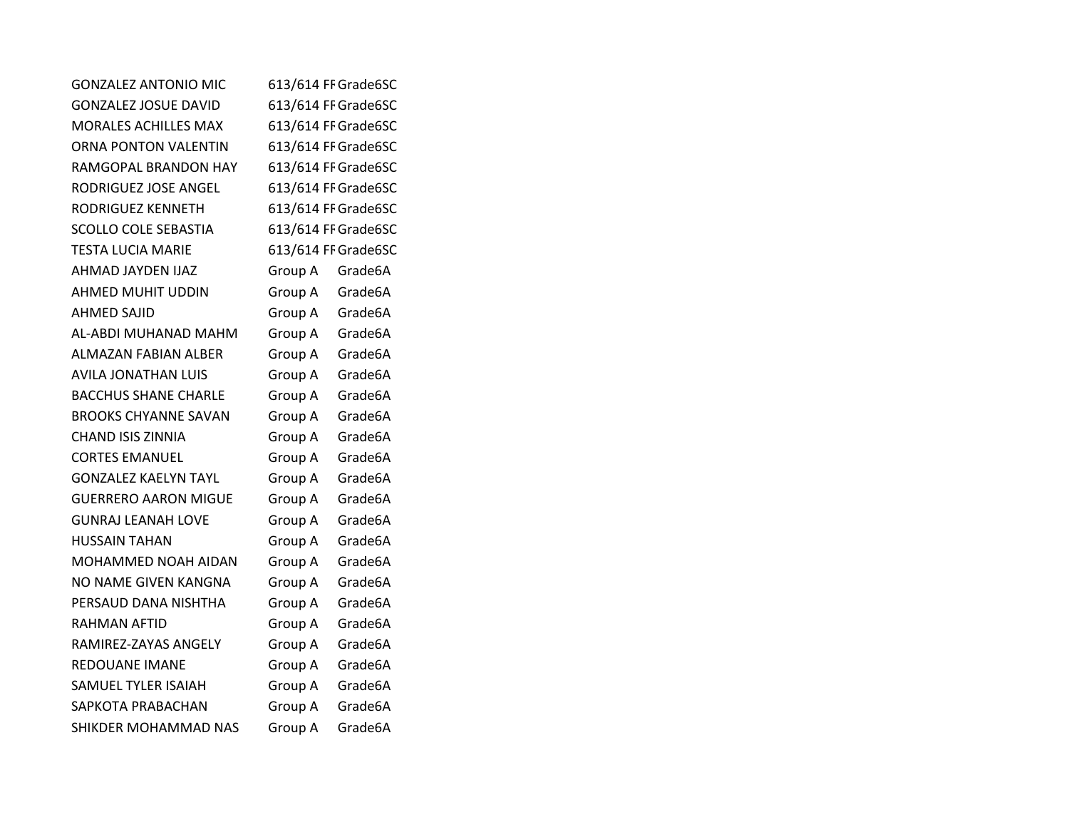| <b>GONZALEZ ANTONIO MIC</b> | 613/614 FF Grade6SC |         |
|-----------------------------|---------------------|---------|
| <b>GONZALEZ JOSUE DAVID</b> | 613/614 FF Grade6SC |         |
| <b>MORALES ACHILLES MAX</b> | 613/614 FF Grade6SC |         |
| ORNA PONTON VALENTIN        | 613/614 FF Grade6SC |         |
| RAMGOPAL BRANDON HAY        | 613/614 FF Grade6SC |         |
| RODRIGUEZ JOSE ANGEL        | 613/614 FF Grade6SC |         |
| RODRIGUEZ KENNETH           | 613/614 FF Grade6SC |         |
| <b>SCOLLO COLE SEBASTIA</b> | 613/614 FF Grade6SC |         |
| <b>TESTA LUCIA MARIE</b>    | 613/614 FF Grade6SC |         |
| AHMAD JAYDEN IJAZ           | Group A             | Grade6A |
| AHMED MUHIT UDDIN           | Group A             | Grade6A |
| <b>AHMED SAJID</b>          | Group A             | Grade6A |
| AL-ABDI MUHANAD MAHM        | Group A             | Grade6A |
| ALMAZAN FABIAN ALBER        | Group A             | Grade6A |
| <b>AVILA JONATHAN LUIS</b>  | Group A             | Grade6A |
| <b>BACCHUS SHANE CHARLE</b> | Group A             | Grade6A |
| <b>BROOKS CHYANNE SAVAN</b> | Group A             | Grade6A |
| <b>CHAND ISIS ZINNIA</b>    | Group A             | Grade6A |
| <b>CORTES EMANUEL</b>       | Group A             | Grade6A |
| <b>GONZALEZ KAELYN TAYL</b> | Group A             | Grade6A |
| <b>GUERRERO AARON MIGUE</b> | Group A             | Grade6A |
| <b>GUNRAJ LEANAH LOVE</b>   | Group A             | Grade6A |
| <b>HUSSAIN TAHAN</b>        | Group A             | Grade6A |
| MOHAMMED NOAH AIDAN         | Group A             | Grade6A |
| NO NAME GIVEN KANGNA        | Group A             | Grade6A |
| PERSAUD DANA NISHTHA        | Group A             | Grade6A |
| <b>RAHMAN AFTID</b>         | Group A             | Grade6A |
| RAMIREZ-ZAYAS ANGELY        | Group A             | Grade6A |
| REDOUANE IMANE              | Group A             | Grade6A |
| SAMUEL TYLER ISAIAH         | Group A             | Grade6A |
| SAPKOTA PRABACHAN           | Group A             | Grade6A |
| SHIKDER MOHAMMAD NAS        | Group A             | Grade6A |
|                             |                     |         |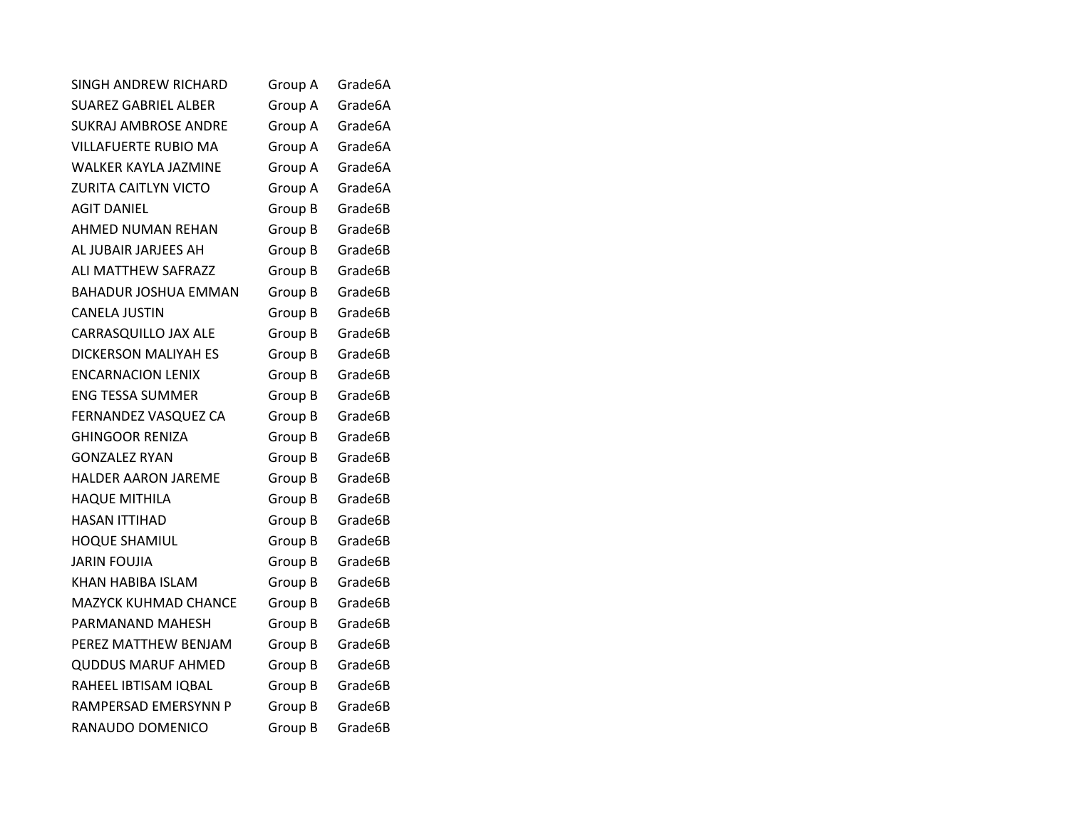| <b>SINGH ANDREW RICHARD</b> | Group A | Grade6A |
|-----------------------------|---------|---------|
| <b>SUAREZ GABRIEL ALBER</b> | Group A | Grade6A |
| <b>SUKRAJ AMBROSE ANDRE</b> | Group A | Grade6A |
| VILLAFUERTE RUBIO MA        | Group A | Grade6A |
| <b>WALKER KAYLA JAZMINE</b> | Group A | Grade6A |
| ZURITA CAITLYN VICTO        | Group A | Grade6A |
| <b>AGIT DANIEL</b>          | Group B | Grade6B |
| AHMED NUMAN REHAN           | Group B | Grade6B |
| AL JUBAIR JARJEES AH        | Group B | Grade6B |
| ALI MATTHEW SAFRAZZ         | Group B | Grade6B |
| <b>BAHADUR JOSHUA EMMAN</b> | Group B | Grade6B |
| <b>CANELA JUSTIN</b>        | Group B | Grade6B |
| CARRASQUILLO JAX ALE        | Group B | Grade6B |
| <b>DICKERSON MALIYAH ES</b> | Group B | Grade6B |
| <b>ENCARNACION LENIX</b>    | Group B | Grade6B |
| <b>ENG TESSA SUMMER</b>     | Group B | Grade6B |
| FERNANDEZ VASQUEZ CA        | Group B | Grade6B |
| <b>GHINGOOR RENIZA</b>      | Group B | Grade6B |
| <b>GONZALEZ RYAN</b>        | Group B | Grade6B |
| <b>HALDER AARON JAREME</b>  | Group B | Grade6B |
| <b>HAQUE MITHILA</b>        | Group B | Grade6B |
| <b>HASAN ITTIHAD</b>        | Group B | Grade6B |
| <b>HOQUE SHAMIUL</b>        | Group B | Grade6B |
| <b>JARIN FOUJIA</b>         | Group B | Grade6B |
| KHAN HABIBA ISLAM           | Group B | Grade6B |
| <b>MAZYCK KUHMAD CHANCE</b> | Group B | Grade6B |
| PARMANAND MAHESH            | Group B | Grade6B |
| PEREZ MATTHEW BENJAM        | Group B | Grade6B |
| <b>QUDDUS MARUF AHMED</b>   | Group B | Grade6B |
| RAHEEL IBTISAM IQBAL        | Group B | Grade6B |
| RAMPERSAD EMERSYNN P        | Group B | Grade6B |
| RANAUDO DOMENICO            | Group B | Grade6B |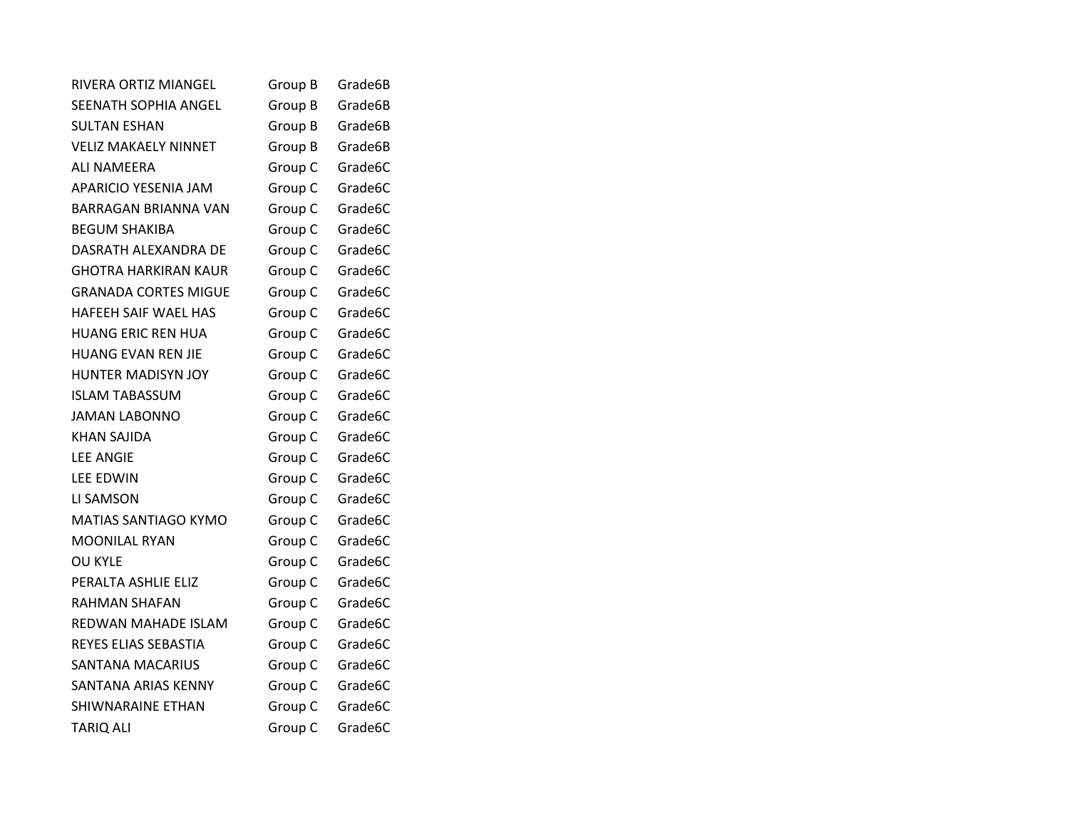| <b>RIVERA ORTIZ MIANGEL</b> | Group B | Grade6B |
|-----------------------------|---------|---------|
| <b>SEENATH SOPHIA ANGEL</b> | Group B | Grade6B |
| <b>SULTAN ESHAN</b>         | Group B | Grade6B |
| <b>VELIZ MAKAELY NINNET</b> | Group B | Grade6B |
| <b>ALI NAMEERA</b>          | Group C | Grade6C |
| <b>APARICIO YESENIA JAM</b> | Group C | Grade6C |
| <b>BARRAGAN BRIANNA VAN</b> | Group C | Grade6C |
| <b>BEGUM SHAKIBA</b>        | Group C | Grade6C |
| DASRATH ALEXANDRA DE        | Group C | Grade6C |
| <b>GHOTRA HARKIRAN KAUR</b> | Group C | Grade6C |
| <b>GRANADA CORTES MIGUE</b> | Group C | Grade6C |
| HAFEEH SAIF WAEL HAS        | Group C | Grade6C |
| <b>HUANG ERIC REN HUA</b>   | Group C | Grade6C |
| <b>HUANG EVAN REN JIE</b>   | Group C | Grade6C |
| HUNTER MADISYN JOY          | Group C | Grade6C |
| <b>ISLAM TABASSUM</b>       | Group C | Grade6C |
| <b>JAMAN LABONNO</b>        | Group C | Grade6C |
| <b>KHAN SAJIDA</b>          | Group C | Grade6C |
| <b>LEE ANGIE</b>            | Group C | Grade6C |
| <b>LEE EDWIN</b>            | Group C | Grade6C |
| LI SAMSON                   | Group C | Grade6C |
| MATIAS SANTIAGO KYMO        | Group C | Grade6C |
| <b>MOONILAL RYAN</b>        | Group C | Grade6C |
| <b>OU KYLE</b>              | Group C | Grade6C |
| PERALTA ASHLIE ELIZ         | Group C | Grade6C |
| <b>RAHMAN SHAFAN</b>        | Group C | Grade6C |
| REDWAN MAHADE ISLAM         | Group C | Grade6C |
| REYES ELIAS SEBASTIA        | Group C | Grade6C |
| <b>SANTANA MACARIUS</b>     | Group C | Grade6C |
| SANTANA ARIAS KENNY         | Group C | Grade6C |
| SHIWNARAINE ETHAN           | Group C | Grade6C |
| <b>TARIQ ALI</b>            | Group C | Grade6C |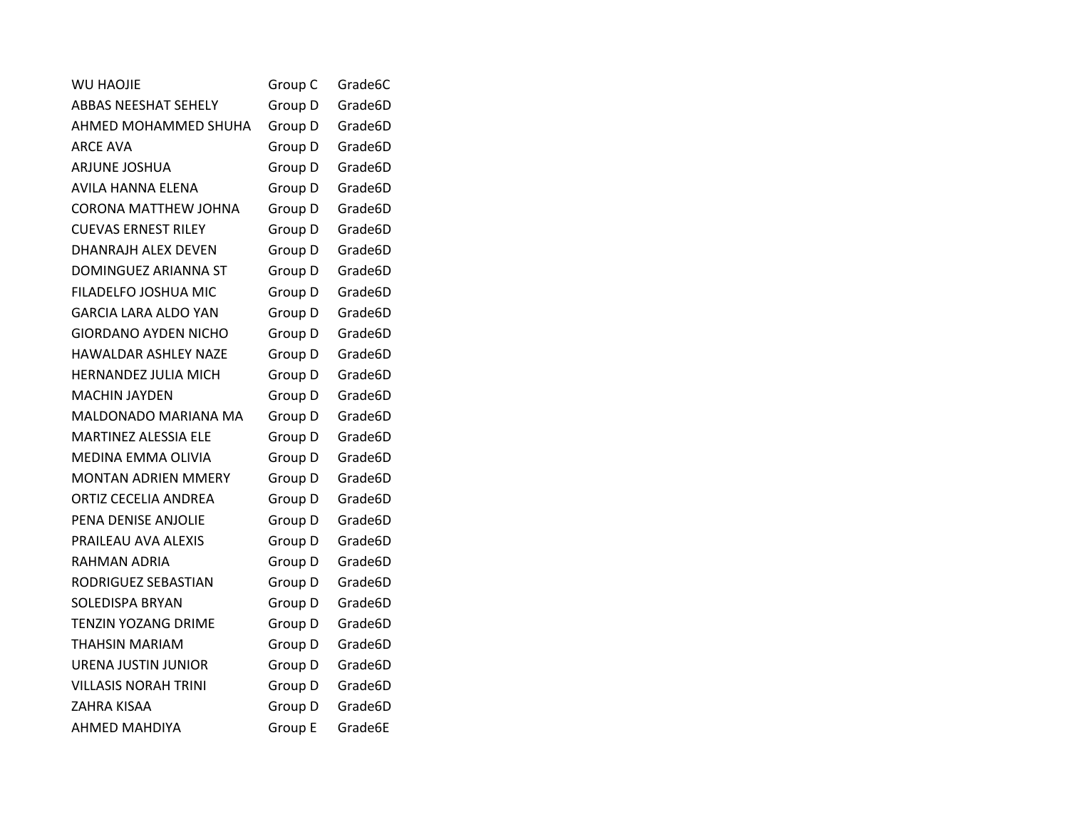| <b>WU HAOJIE</b>            | Group C | Grade6C |
|-----------------------------|---------|---------|
| <b>ABBAS NEESHAT SEHELY</b> | Group D | Grade6D |
| AHMED MOHAMMED SHUHA        | Group D | Grade6D |
| ARCE AVA                    | Group D | Grade6D |
| ARJUNE JOSHUA               | Group D | Grade6D |
| AVILA HANNA ELENA           | Group D | Grade6D |
| <b>CORONA MATTHEW JOHNA</b> | Group D | Grade6D |
| <b>CUEVAS ERNEST RILEY</b>  | Group D | Grade6D |
| DHANRAJH ALEX DEVEN         | Group D | Grade6D |
| DOMINGUEZ ARIANNA ST        | Group D | Grade6D |
| FILADELFO JOSHUA MIC        | Group D | Grade6D |
| <b>GARCIA LARA ALDO YAN</b> | Group D | Grade6D |
| GIORDANO AYDEN NICHO        | Group D | Grade6D |
| HAWALDAR ASHLEY NAZE        | Group D | Grade6D |
| HERNANDEZ JULIA MICH        | Group D | Grade6D |
| MACHIN JAYDEN               | Group D | Grade6D |
| <b>MALDONADO MARIANA MA</b> | Group D | Grade6D |
| <b>MARTINEZ ALESSIA ELE</b> | Group D | Grade6D |
| MEDINA EMMA OLIVIA          | Group D | Grade6D |
| <b>MONTAN ADRIEN MMERY</b>  | Group D | Grade6D |
| ORTIZ CECELIA ANDREA        | Group D | Grade6D |
| PENA DENISE ANJOLIE         | Group D | Grade6D |
| PRAILEAU AVA ALEXIS         | Group D | Grade6D |
| RAHMAN ADRIA                | Group D | Grade6D |
| RODRIGUEZ SEBASTIAN         | Group D | Grade6D |
| <b>SOLEDISPA BRYAN</b>      | Group D | Grade6D |
| <b>TENZIN YOZANG DRIME</b>  | Group D | Grade6D |
| THAHSIN MARIAM              | Group D | Grade6D |
| URENA JUSTIN JUNIOR         | Group D | Grade6D |
| <b>VILLASIS NORAH TRINI</b> | Group D | Grade6D |
| ZAHRA KISAA                 | Group D | Grade6D |
| <b>AHMED MAHDIYA</b>        | Group E | Grade6E |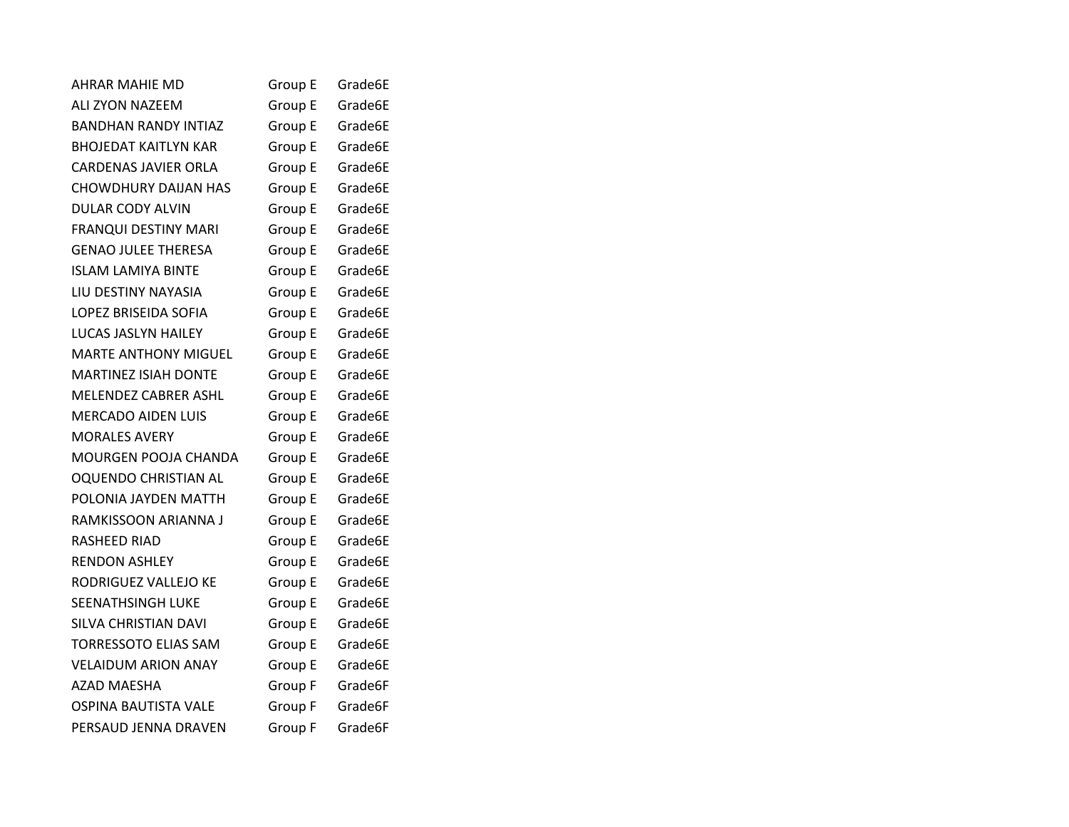| AHRAR MAHIE MD              | Group E | Grade6E |
|-----------------------------|---------|---------|
| ALI ZYON NAZEEM             | Group E | Grade6E |
| <b>BANDHAN RANDY INTIAZ</b> | Group E | Grade6E |
| <b>BHOJEDAT KAITLYN KAR</b> | Group E | Grade6E |
| CARDENAS JAVIER ORLA        | Group E | Grade6E |
| <b>CHOWDHURY DAIJAN HAS</b> | Group E | Grade6E |
| <b>DULAR CODY ALVIN</b>     | Group E | Grade6E |
| <b>FRANQUI DESTINY MARI</b> | Group E | Grade6E |
| <b>GENAO JULEE THERESA</b>  | Group E | Grade6E |
| <b>ISLAM LAMIYA BINTE</b>   | Group E | Grade6E |
| LIU DESTINY NAYASIA         | Group E | Grade6E |
| LOPEZ BRISEIDA SOFIA        | Group E | Grade6E |
| LUCAS JASLYN HAILEY         | Group E | Grade6E |
| MARTE ANTHONY MIGUEL        | Group E | Grade6E |
| <b>MARTINEZ ISIAH DONTE</b> | Group E | Grade6E |
| MELENDEZ CABRER ASHL        | Group E | Grade6E |
| <b>MERCADO AIDEN LUIS</b>   | Group E | Grade6E |
| <b>MORALES AVERY</b>        | Group E | Grade6E |
| MOURGEN POOJA CHANDA        | Group E | Grade6E |
| OQUENDO CHRISTIAN AL        | Group E | Grade6E |
| POLONIA JAYDEN MATTH        | Group E | Grade6E |
| RAMKISSOON ARIANNA J        | Group E | Grade6E |
| RASHEED RIAD                | Group E | Grade6E |
| <b>RENDON ASHLEY</b>        | Group E | Grade6E |
| RODRIGUEZ VALLEJO KE        | Group E | Grade6E |
| <b>SEENATHSINGH LUKE</b>    | Group E | Grade6E |
| SILVA CHRISTIAN DAVI        | Group E | Grade6E |
| <b>TORRESSOTO ELIAS SAM</b> | Group E | Grade6E |
| <b>VELAIDUM ARION ANAY</b>  | Group E | Grade6E |
| <b>AZAD MAESHA</b>          | Group F | Grade6F |
| <b>OSPINA BAUTISTA VALE</b> | Group F | Grade6F |
| PERSAUD JENNA DRAVEN        | Group F | Grade6F |